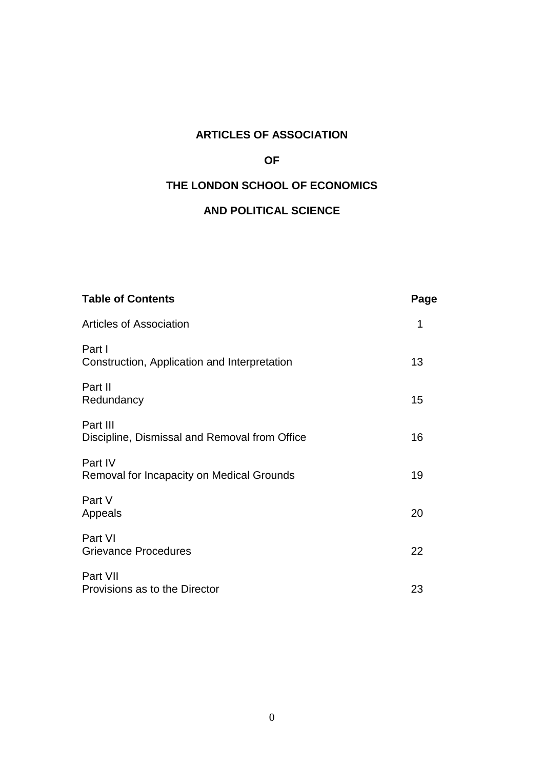# **ARTICLES OF ASSOCIATION**

# **OF**

# **THE LONDON SCHOOL OF ECONOMICS**

# **AND POLITICAL SCIENCE**

| <b>Table of Contents</b>                                  | Page |
|-----------------------------------------------------------|------|
| <b>Articles of Association</b>                            | 1    |
| Part I<br>Construction, Application and Interpretation    | 13   |
| Part II<br>Redundancy                                     | 15   |
| Part III<br>Discipline, Dismissal and Removal from Office | 16   |
| Part IV<br>Removal for Incapacity on Medical Grounds      | 19   |
| Part V<br>Appeals                                         | 20   |
| Part VI<br><b>Grievance Procedures</b>                    | 22   |
| Part VII<br>Provisions as to the Director                 | 23   |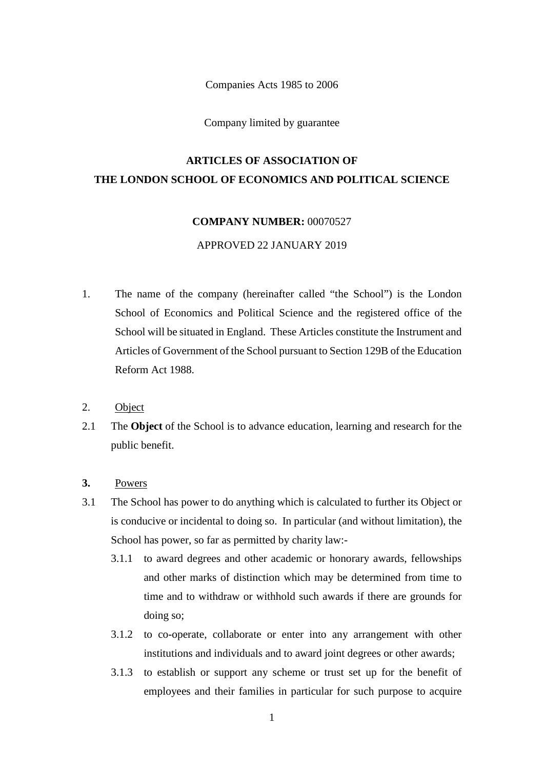Companies Acts 1985 to 2006

Company limited by guarantee

# **ARTICLES OF ASSOCIATION OF THE LONDON SCHOOL OF ECONOMICS AND POLITICAL SCIENCE**

## **COMPANY NUMBER:** 00070527

# APPROVED 22 JANUARY 2019

- 1. The name of the company (hereinafter called "the School") is the London School of Economics and Political Science and the registered office of the School will be situated in England. These Articles constitute the Instrument and Articles of Government of the School pursuant to Section 129B of the Education Reform Act 1988.
- 2. Object
- 2.1 The **Object** of the School is to advance education, learning and research for the public benefit.
- **3.** Powers
- 3.1 The School has power to do anything which is calculated to further its Object or is conducive or incidental to doing so. In particular (and without limitation), the School has power, so far as permitted by charity law:-
	- 3.1.1 to award degrees and other academic or honorary awards, fellowships and other marks of distinction which may be determined from time to time and to withdraw or withhold such awards if there are grounds for doing so;
	- 3.1.2 to co-operate, collaborate or enter into any arrangement with other institutions and individuals and to award joint degrees or other awards;
	- 3.1.3 to establish or support any scheme or trust set up for the benefit of employees and their families in particular for such purpose to acquire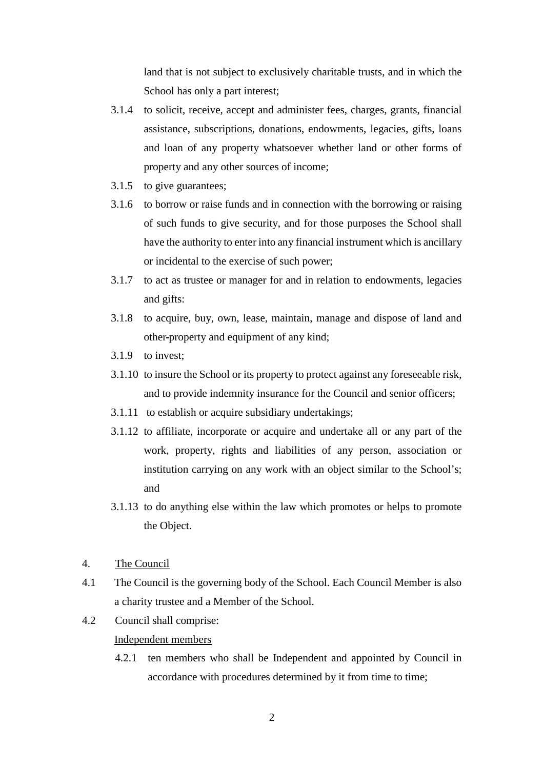land that is not subject to exclusively charitable trusts, and in which the School has only a part interest;

- 3.1.4 to solicit, receive, accept and administer fees, charges, grants, financial assistance, subscriptions, donations, endowments, legacies, gifts, loans and loan of any property whatsoever whether land or other forms of property and any other sources of income;
- 3.1.5 to give guarantees;
- 3.1.6 to borrow or raise funds and in connection with the borrowing or raising of such funds to give security, and for those purposes the School shall have the authority to enter into any financial instrument which is ancillary or incidental to the exercise of such power;
- 3.1.7 to act as trustee or manager for and in relation to endowments, legacies and gifts:
- 3.1.8 to acquire, buy, own, lease, maintain, manage and dispose of land and other-property and equipment of any kind;
- 3.1.9 to invest;
- 3.1.10 to insure the School or its property to protect against any foreseeable risk, and to provide indemnity insurance for the Council and senior officers;
- 3.1.11 to establish or acquire subsidiary undertakings;
- 3.1.12 to affiliate, incorporate or acquire and undertake all or any part of the work, property, rights and liabilities of any person, association or institution carrying on any work with an object similar to the School's; and
- 3.1.13 to do anything else within the law which promotes or helps to promote the Object.
- 4. The Council
- 4.1 The Council is the governing body of the School. Each Council Member is also a charity trustee and a Member of the School.
- 4.2 Council shall comprise:

## Independent members

4.2.1 ten members who shall be Independent and appointed by Council in accordance with procedures determined by it from time to time;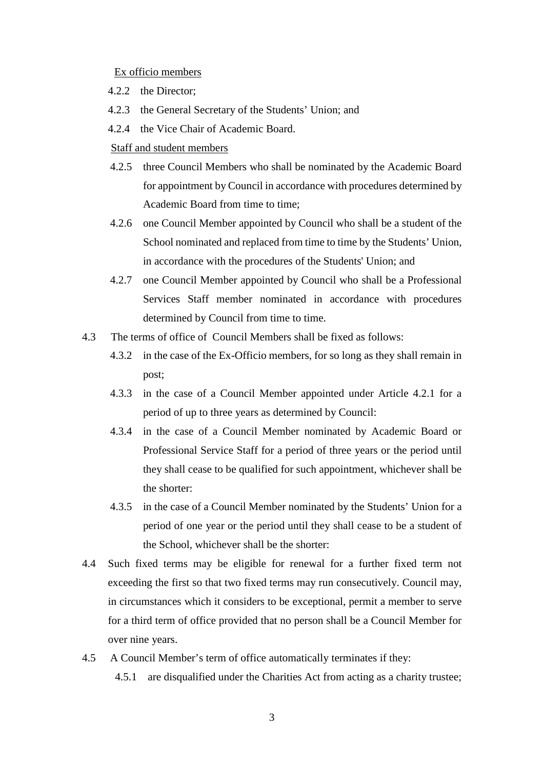### Ex officio members

- 4.2.2 the Director;
- 4.2.3 the General Secretary of the Students' Union; and
- 4.2.4 the Vice Chair of Academic Board.

## Staff and student members

- 4.2.5 three Council Members who shall be nominated by the Academic Board for appointment by Council in accordance with procedures determined by Academic Board from time to time;
- 4.2.6 one Council Member appointed by Council who shall be a student of the School nominated and replaced from time to time by the Students' Union, in accordance with the procedures of the Students' Union; and
- 4.2.7 one Council Member appointed by Council who shall be a Professional Services Staff member nominated in accordance with procedures determined by Council from time to time.
- 4.3 The terms of office of Council Members shall be fixed as follows:
	- 4.3.2 in the case of the Ex-Officio members, for so long as they shall remain in post;
	- 4.3.3 in the case of a Council Member appointed under Article 4.2.1 for a period of up to three years as determined by Council:
	- 4.3.4 in the case of a Council Member nominated by Academic Board or Professional Service Staff for a period of three years or the period until they shall cease to be qualified for such appointment, whichever shall be the shorter:
	- 4.3.5 in the case of a Council Member nominated by the Students' Union for a period of one year or the period until they shall cease to be a student of the School, whichever shall be the shorter:
- 4.4 Such fixed terms may be eligible for renewal for a further fixed term not exceeding the first so that two fixed terms may run consecutively. Council may, in circumstances which it considers to be exceptional, permit a member to serve for a third term of office provided that no person shall be a Council Member for over nine years.
- 4.5 A Council Member's term of office automatically terminates if they:
	- 4.5.1 are disqualified under the Charities Act from acting as a charity trustee;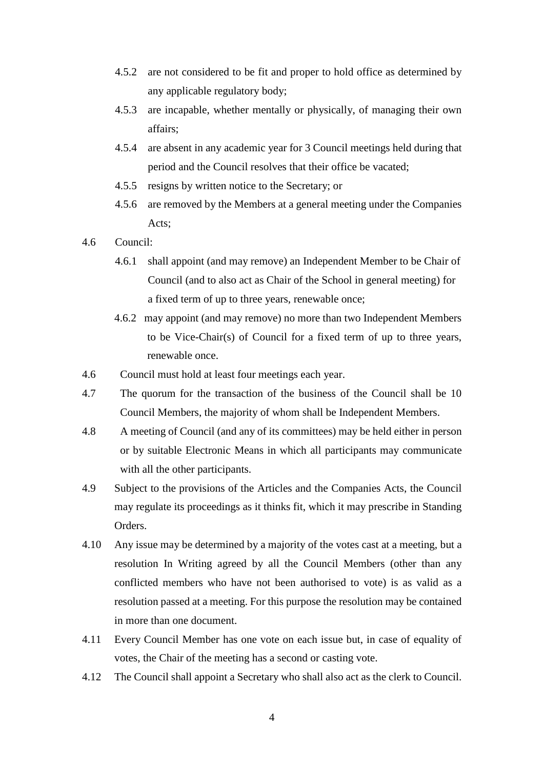- 4.5.2 are not considered to be fit and proper to hold office as determined by any applicable regulatory body;
- 4.5.3 are incapable, whether mentally or physically, of managing their own affairs;
- 4.5.4 are absent in any academic year for 3 Council meetings held during that period and the Council resolves that their office be vacated;
- 4.5.5 resigns by written notice to the Secretary; or
- 4.5.6 are removed by the Members at a general meeting under the Companies Acts;
- 4.6 Council:
	- 4.6.1 shall appoint (and may remove) an Independent Member to be Chair of Council (and to also act as Chair of the School in general meeting) for a fixed term of up to three years, renewable once;
	- 4.6.2 may appoint (and may remove) no more than two Independent Members to be Vice-Chair(s) of Council for a fixed term of up to three years, renewable once.
- 4.6 Council must hold at least four meetings each year.
- 4.7 The quorum for the transaction of the business of the Council shall be 10 Council Members, the majority of whom shall be Independent Members.
- 4.8 A meeting of Council (and any of its committees) may be held either in person or by suitable Electronic Means in which all participants may communicate with all the other participants.
- 4.9 Subject to the provisions of the Articles and the Companies Acts, the Council may regulate its proceedings as it thinks fit, which it may prescribe in Standing Orders.
- 4.10 Any issue may be determined by a majority of the votes cast at a meeting, but a resolution In Writing agreed by all the Council Members (other than any conflicted members who have not been authorised to vote) is as valid as a resolution passed at a meeting. For this purpose the resolution may be contained in more than one document.
- 4.11 Every Council Member has one vote on each issue but, in case of equality of votes, the Chair of the meeting has a second or casting vote.
- 4.12 The Council shall appoint a Secretary who shall also act as the clerk to Council.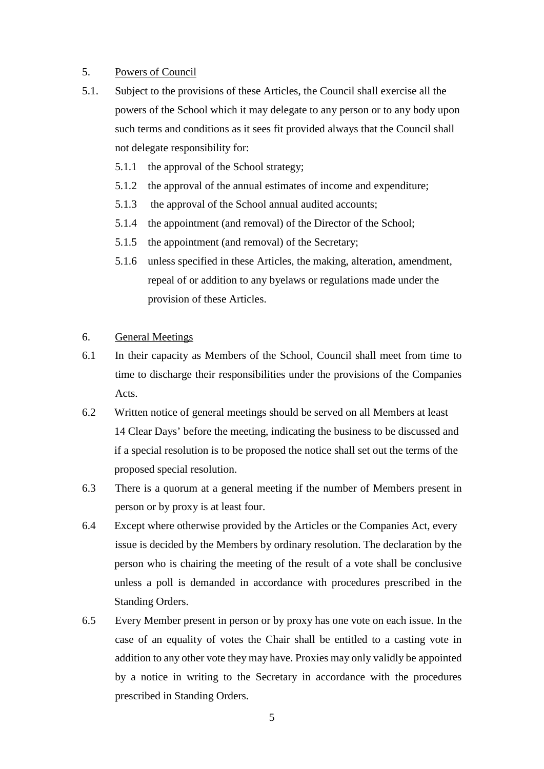# 5. Powers of Council

- 5.1. Subject to the provisions of these Articles, the Council shall exercise all the powers of the School which it may delegate to any person or to any body upon such terms and conditions as it sees fit provided always that the Council shall not delegate responsibility for:
	- 5.1.1 the approval of the School strategy;
	- 5.1.2 the approval of the annual estimates of income and expenditure;
	- 5.1.3 the approval of the School annual audited accounts;
	- 5.1.4 the appointment (and removal) of the Director of the School;
	- 5.1.5 the appointment (and removal) of the Secretary;
	- 5.1.6 unless specified in these Articles, the making, alteration, amendment, repeal of or addition to any byelaws or regulations made under the provision of these Articles.

# 6. General Meetings

- 6.1 In their capacity as Members of the School, Council shall meet from time to time to discharge their responsibilities under the provisions of the Companies Acts.
- 6.2 Written notice of general meetings should be served on all Members at least 14 Clear Days' before the meeting, indicating the business to be discussed and if a special resolution is to be proposed the notice shall set out the terms of the proposed special resolution.
- 6.3 There is a quorum at a general meeting if the number of Members present in person or by proxy is at least four.
- 6.4 Except where otherwise provided by the Articles or the Companies Act, every issue is decided by the Members by ordinary resolution. The declaration by the person who is chairing the meeting of the result of a vote shall be conclusive unless a poll is demanded in accordance with procedures prescribed in the Standing Orders.
- 6.5 Every Member present in person or by proxy has one vote on each issue. In the case of an equality of votes the Chair shall be entitled to a casting vote in addition to any other vote they may have. Proxies may only validly be appointed by a notice in writing to the Secretary in accordance with the procedures prescribed in Standing Orders.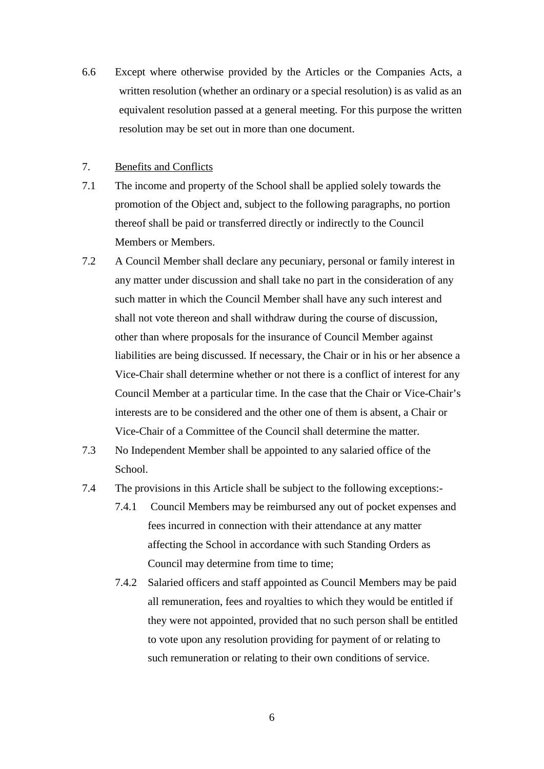6.6 Except where otherwise provided by the Articles or the Companies Acts, a written resolution (whether an ordinary or a special resolution) is as valid as an equivalent resolution passed at a general meeting. For this purpose the written resolution may be set out in more than one document.

# 7. Benefits and Conflicts

- 7.1 The income and property of the School shall be applied solely towards the promotion of the Object and, subject to the following paragraphs, no portion thereof shall be paid or transferred directly or indirectly to the Council Members or Members.
- 7.2 A Council Member shall declare any pecuniary, personal or family interest in any matter under discussion and shall take no part in the consideration of any such matter in which the Council Member shall have any such interest and shall not vote thereon and shall withdraw during the course of discussion, other than where proposals for the insurance of Council Member against liabilities are being discussed. If necessary, the Chair or in his or her absence a Vice-Chair shall determine whether or not there is a conflict of interest for any Council Member at a particular time. In the case that the Chair or Vice-Chair's interests are to be considered and the other one of them is absent, a Chair or Vice-Chair of a Committee of the Council shall determine the matter.
- 7.3 No Independent Member shall be appointed to any salaried office of the School.
- 7.4 The provisions in this Article shall be subject to the following exceptions:-
	- 7.4.1 Council Members may be reimbursed any out of pocket expenses and fees incurred in connection with their attendance at any matter affecting the School in accordance with such Standing Orders as Council may determine from time to time;
	- 7.4.2 Salaried officers and staff appointed as Council Members may be paid all remuneration, fees and royalties to which they would be entitled if they were not appointed, provided that no such person shall be entitled to vote upon any resolution providing for payment of or relating to such remuneration or relating to their own conditions of service.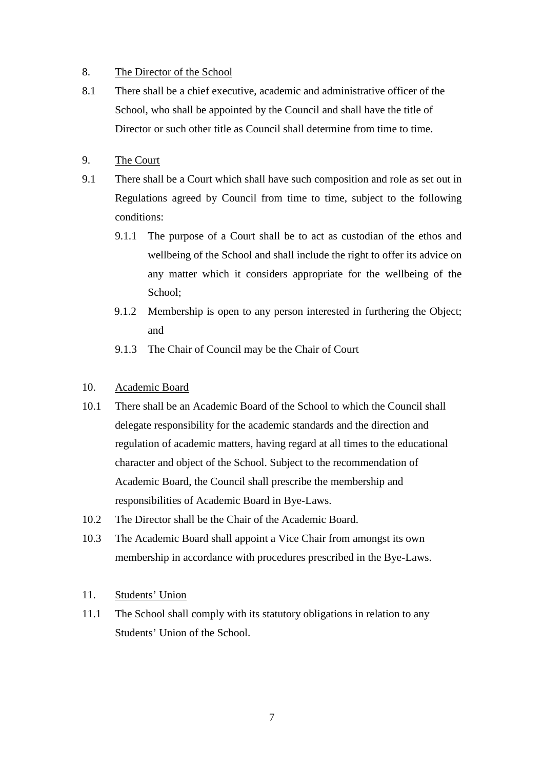# 8. The Director of the School

- 8.1 There shall be a chief executive, academic and administrative officer of the School, who shall be appointed by the Council and shall have the title of Director or such other title as Council shall determine from time to time.
- 9. The Court
- 9.1 There shall be a Court which shall have such composition and role as set out in Regulations agreed by Council from time to time, subject to the following conditions:
	- 9.1.1 The purpose of a Court shall be to act as custodian of the ethos and wellbeing of the School and shall include the right to offer its advice on any matter which it considers appropriate for the wellbeing of the School;
	- 9.1.2 Membership is open to any person interested in furthering the Object; and
	- 9.1.3 The Chair of Council may be the Chair of Court

# 10. Academic Board

- 10.1 There shall be an Academic Board of the School to which the Council shall delegate responsibility for the academic standards and the direction and regulation of academic matters, having regard at all times to the educational character and object of the School. Subject to the recommendation of Academic Board, the Council shall prescribe the membership and responsibilities of Academic Board in Bye-Laws.
- 10.2 The Director shall be the Chair of the Academic Board.
- 10.3 The Academic Board shall appoint a Vice Chair from amongst its own membership in accordance with procedures prescribed in the Bye-Laws.

# 11. Students' Union

11.1 The School shall comply with its statutory obligations in relation to any Students' Union of the School.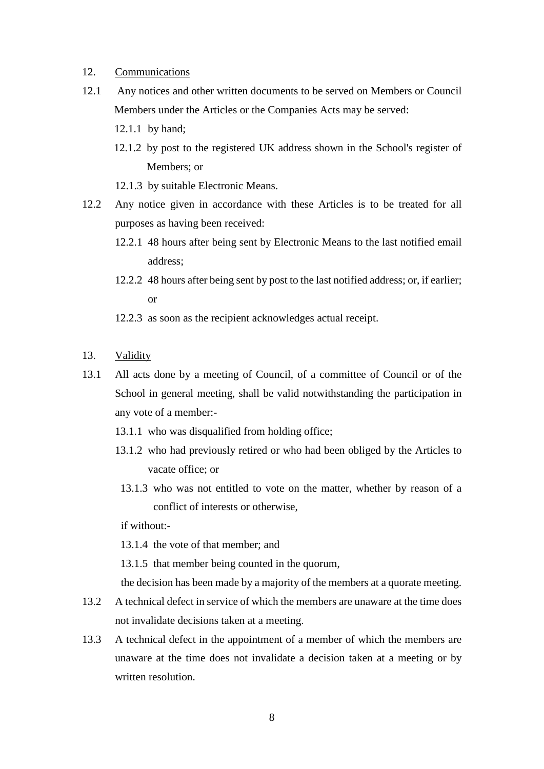- 12. Communications
- 12.1 Any notices and other written documents to be served on Members or Council Members under the Articles or the Companies Acts may be served:
	- 12.1.1 by hand;
	- 12.1.2 by post to the registered UK address shown in the School's register of Members; or
	- 12.1.3 by suitable Electronic Means.
- 12.2 Any notice given in accordance with these Articles is to be treated for all purposes as having been received:
	- 12.2.1 48 hours after being sent by Electronic Means to the last notified email address;
	- 12.2.2 48 hours after being sent by post to the last notified address; or, if earlier; or
	- 12.2.3 as soon as the recipient acknowledges actual receipt.
- 13. Validity
- 13.1 All acts done by a meeting of Council, of a committee of Council or of the School in general meeting, shall be valid notwithstanding the participation in any vote of a member:-
	- 13.1.1 who was disqualified from holding office;
	- 13.1.2 who had previously retired or who had been obliged by the Articles to vacate office; or
	- 13.1.3 who was not entitled to vote on the matter, whether by reason of a conflict of interests or otherwise,

if without:-

13.1.4 the vote of that member; and

13.1.5 that member being counted in the quorum,

the decision has been made by a majority of the members at a quorate meeting.

- 13.2 A technical defect in service of which the members are unaware at the time does not invalidate decisions taken at a meeting.
- 13.3 A technical defect in the appointment of a member of which the members are unaware at the time does not invalidate a decision taken at a meeting or by written resolution.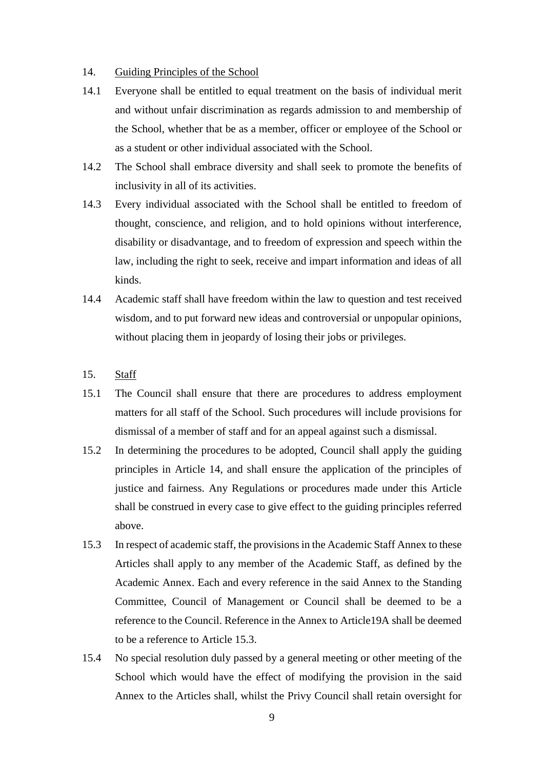# 14. Guiding Principles of the School

- 14.1 Everyone shall be entitled to equal treatment on the basis of individual merit and without unfair discrimination as regards admission to and membership of the School, whether that be as a member, officer or employee of the School or as a student or other individual associated with the School.
- 14.2 The School shall embrace diversity and shall seek to promote the benefits of inclusivity in all of its activities.
- 14.3 Every individual associated with the School shall be entitled to freedom of thought, conscience, and religion, and to hold opinions without interference, disability or disadvantage, and to freedom of expression and speech within the law, including the right to seek, receive and impart information and ideas of all kinds.
- 14.4 Academic staff shall have freedom within the law to question and test received wisdom, and to put forward new ideas and controversial or unpopular opinions, without placing them in jeopardy of losing their jobs or privileges.
- 15. Staff
- 15.1 The Council shall ensure that there are procedures to address employment matters for all staff of the School. Such procedures will include provisions for dismissal of a member of staff and for an appeal against such a dismissal.
- 15.2 In determining the procedures to be adopted, Council shall apply the guiding principles in Article 14, and shall ensure the application of the principles of justice and fairness. Any Regulations or procedures made under this Article shall be construed in every case to give effect to the guiding principles referred above.
- 15.3 In respect of academic staff, the provisions in the Academic Staff Annex to these Articles shall apply to any member of the Academic Staff, as defined by the Academic Annex. Each and every reference in the said Annex to the Standing Committee, Council of Management or Council shall be deemed to be a reference to the Council. Reference in the Annex to Article19A shall be deemed to be a reference to Article 15.3.
- 15.4 No special resolution duly passed by a general meeting or other meeting of the School which would have the effect of modifying the provision in the said Annex to the Articles shall, whilst the Privy Council shall retain oversight for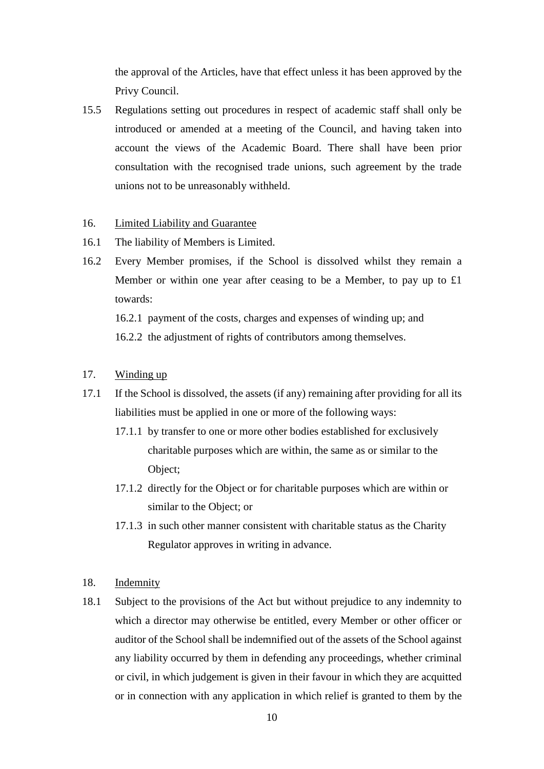the approval of the Articles, have that effect unless it has been approved by the Privy Council.

15.5 Regulations setting out procedures in respect of academic staff shall only be introduced or amended at a meeting of the Council, and having taken into account the views of the Academic Board. There shall have been prior consultation with the recognised trade unions, such agreement by the trade unions not to be unreasonably withheld.

## 16. Limited Liability and Guarantee

- 16.1 The liability of Members is Limited.
- 16.2 Every Member promises, if the School is dissolved whilst they remain a Member or within one year after ceasing to be a Member, to pay up to £1 towards:

16.2.1 payment of the costs, charges and expenses of winding up; and 16.2.2 the adjustment of rights of contributors among themselves.

- 17. Winding up
- 17.1 If the School is dissolved, the assets (if any) remaining after providing for all its liabilities must be applied in one or more of the following ways:
	- 17.1.1 by transfer to one or more other bodies established for exclusively charitable purposes which are within, the same as or similar to the Object;
	- 17.1.2 directly for the Object or for charitable purposes which are within or similar to the Object; or
	- 17.1.3 in such other manner consistent with charitable status as the Charity Regulator approves in writing in advance.
- 18. Indemnity
- 18.1 Subject to the provisions of the Act but without prejudice to any indemnity to which a director may otherwise be entitled, every Member or other officer or auditor of the School shall be indemnified out of the assets of the School against any liability occurred by them in defending any proceedings, whether criminal or civil, in which judgement is given in their favour in which they are acquitted or in connection with any application in which relief is granted to them by the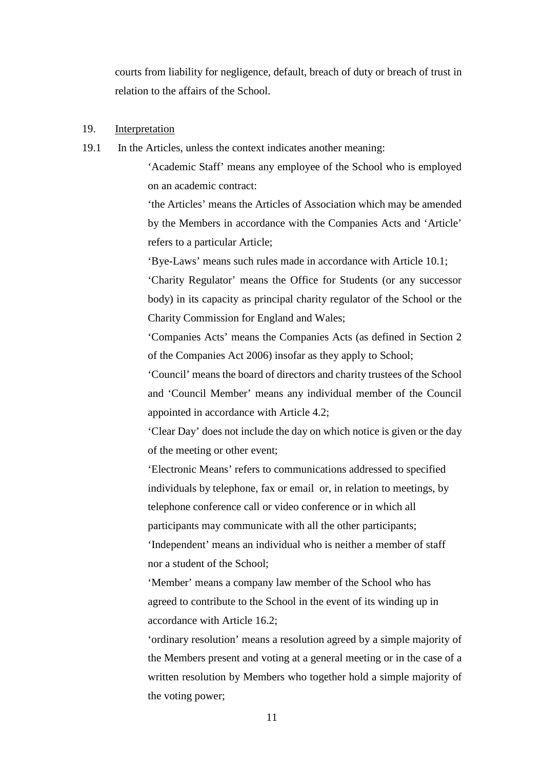courts from liability for negligence, default, breach of duty or breach of trust in relation to the affairs of the School.

# 19. Interpretation

19.1 In the Articles, unless the context indicates another meaning:

'Academic Staff' means any employee of the School who is employed on an academic contract:

'the Articles' means the Articles of Association which may be amended by the Members in accordance with the Companies Acts and 'Article' refers to a particular Article;

'Bye-Laws' means such rules made in accordance with Article 10.1;

'Charity Regulator' means the Office for Students (or any successor body) in its capacity as principal charity regulator of the School or the Charity Commission for England and Wales;

'Companies Acts' means the Companies Acts (as defined in Section 2 of the Companies Act 2006) insofar as they apply to School;

'Council' means the board of directors and charity trustees of the School and 'Council Member' means any individual member of the Council appointed in accordance with Article 4.2;

'Clear Day' does not include the day on which notice is given or the day of the meeting or other event;

'Electronic Means' refers to communications addressed to specified individuals by telephone, fax or email or, in relation to meetings, by telephone conference call or video conference or in which all participants may communicate with all the other participants; 'Independent' means an individual who is neither a member of staff nor a student of the School;

'Member' means a company law member of the School who has agreed to contribute to the School in the event of its winding up in accordance with Article 16.2;

'ordinary resolution' means a resolution agreed by a simple majority of the Members present and voting at a general meeting or in the case of a written resolution by Members who together hold a simple majority of the voting power;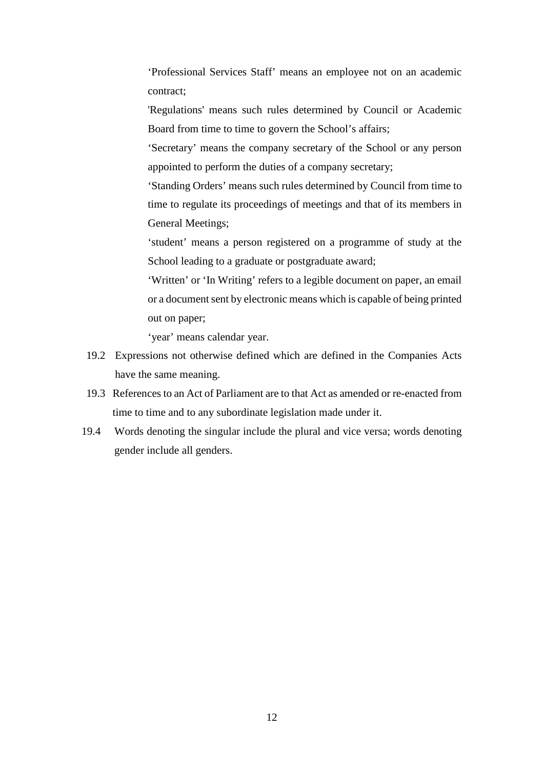'Professional Services Staff' means an employee not on an academic contract;

'Regulations' means such rules determined by Council or Academic Board from time to time to govern the School's affairs;

'Secretary' means the company secretary of the School or any person appointed to perform the duties of a company secretary;

'Standing Orders' means such rules determined by Council from time to time to regulate its proceedings of meetings and that of its members in General Meetings;

'student' means a person registered on a programme of study at the School leading to a graduate or postgraduate award;

'Written' or 'In Writing' refers to a legible document on paper, an email or a document sent by electronic means which is capable of being printed out on paper;

'year' means calendar year.

- 19.2 Expressions not otherwise defined which are defined in the Companies Acts have the same meaning.
- 19.3 References to an Act of Parliament are to that Act as amended or re-enacted from time to time and to any subordinate legislation made under it.
- 19.4 Words denoting the singular include the plural and vice versa; words denoting gender include all genders.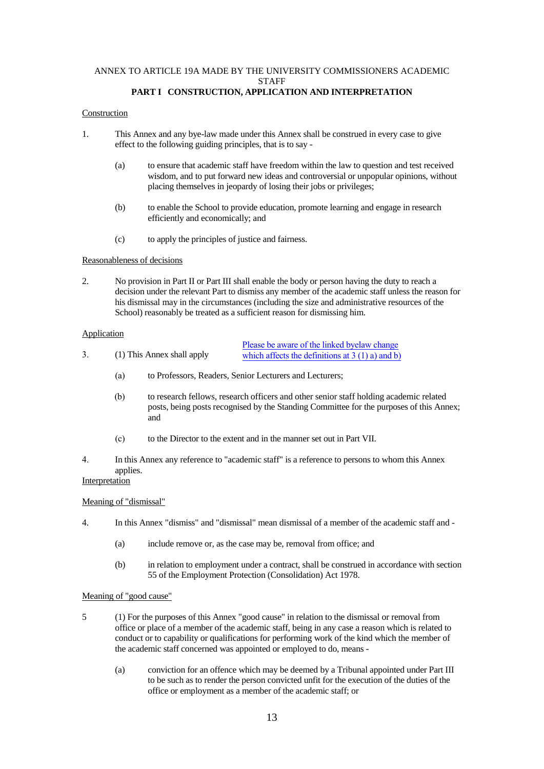#### ANNEX TO ARTICLE 19A MADE BY THE UNIVERSITY COMMISSIONERS ACADEMIC **STAFF PART I CONSTRUCTION, APPLICATION AND INTERPRETATION**

#### Construction

- 1. This Annex and any bye-law made under this Annex shall be construed in every case to give effect to the following guiding principles, that is to say -
	- (a) to ensure that academic staff have freedom within the law to question and test received wisdom, and to put forward new ideas and controversial or unpopular opinions, without placing themselves in jeopardy of losing their jobs or privileges;
	- (b) to enable the School to provide education, promote learning and engage in research efficiently and economically; and
	- (c) to apply the principles of justice and fairness.

#### Reasonableness of decisions

2. No provision in Part II or Part III shall enable the body or person having the duty to reach a decision under the relevant Part to dismiss any member of the academic staff unless the reason for his dismissal may in the circumstances (including the size and administrative resources of the School) reasonably be treated as a sufficient reason for dismissing him.

#### Application

|  |                            | Please be aware of the linked byelaw change       |
|--|----------------------------|---------------------------------------------------|
|  | (1) This Annex shall apply | which affects the definitions at $3(1)$ a) and b) |

- (a) to Professors, Readers, Senior Lecturers and Lecturers;
- (b) to research fellows, research officers and other senior staff holding academic related posts, being posts recognised by the Standing Committee for the purposes of this Annex; and
- (c) to the Director to the extent and in the manner set out in Part VII.

4. In this Annex any reference to "academic staff" is a reference to persons to whom this Annex applies.

## **Interpretation**

#### Meaning of "dismissal"

- 4. In this Annex "dismiss" and "dismissal" mean dismissal of a member of the academic staff and
	- (a) include remove or, as the case may be, removal from office; and
	- (b) in relation to employment under a contract, shall be construed in accordance with section 55 of the Employment Protection (Consolidation) Act 1978.

#### Meaning of "good cause"

- 5 (1) For the purposes of this Annex "good cause" in relation to the dismissal or removal from office or place of a member of the academic staff, being in any case a reason which is related to conduct or to capability or qualifications for performing work of the kind which the member of the academic staff concerned was appointed or employed to do, means -
	- (a) conviction for an offence which may be deemed by a Tribunal appointed under Part III to be such as to render the person convicted unfit for the execution of the duties of the office or employment as a member of the academic staff; or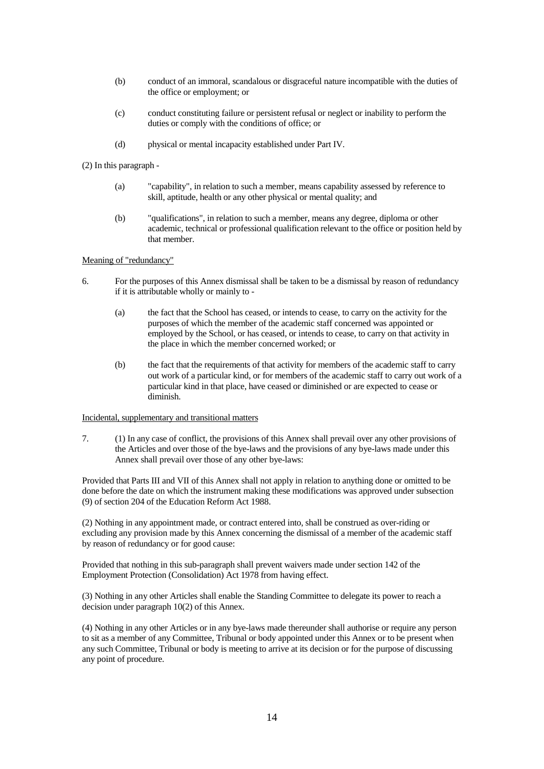- (b) conduct of an immoral, scandalous or disgraceful nature incompatible with the duties of the office or employment; or
- (c) conduct constituting failure or persistent refusal or neglect or inability to perform the duties or comply with the conditions of office; or
- (d) physical or mental incapacity established under Part IV.

(2) In this paragraph -

- (a) "capability", in relation to such a member, means capability assessed by reference to skill, aptitude, health or any other physical or mental quality; and
- (b) "qualifications", in relation to such a member, means any degree, diploma or other academic, technical or professional qualification relevant to the office or position held by that member.

#### Meaning of "redundancy"

- 6. For the purposes of this Annex dismissal shall be taken to be a dismissal by reason of redundancy if it is attributable wholly or mainly to -
	- (a) the fact that the School has ceased, or intends to cease, to carry on the activity for the purposes of which the member of the academic staff concerned was appointed or employed by the School, or has ceased, or intends to cease, to carry on that activity in the place in which the member concerned worked; or
	- (b) the fact that the requirements of that activity for members of the academic staff to carry out work of a particular kind, or for members of the academic staff to carry out work of a particular kind in that place, have ceased or diminished or are expected to cease or diminish.

#### Incidental, supplementary and transitional matters

7. (1) In any case of conflict, the provisions of this Annex shall prevail over any other provisions of the Articles and over those of the bye-laws and the provisions of any bye-laws made under this Annex shall prevail over those of any other bye-laws:

Provided that Parts III and VII of this Annex shall not apply in relation to anything done or omitted to be done before the date on which the instrument making these modifications was approved under subsection (9) of section 204 of the Education Reform Act 1988.

(2) Nothing in any appointment made, or contract entered into, shall be construed as over-riding or excluding any provision made by this Annex concerning the dismissal of a member of the academic staff by reason of redundancy or for good cause:

Provided that nothing in this sub-paragraph shall prevent waivers made under section 142 of the Employment Protection (Consolidation) Act 1978 from having effect.

(3) Nothing in any other Articles shall enable the Standing Committee to delegate its power to reach a decision under paragraph 10(2) of this Annex.

(4) Nothing in any other Articles or in any bye-laws made thereunder shall authorise or require any person to sit as a member of any Committee, Tribunal or body appointed under this Annex or to be present when any such Committee, Tribunal or body is meeting to arrive at its decision or for the purpose of discussing any point of procedure.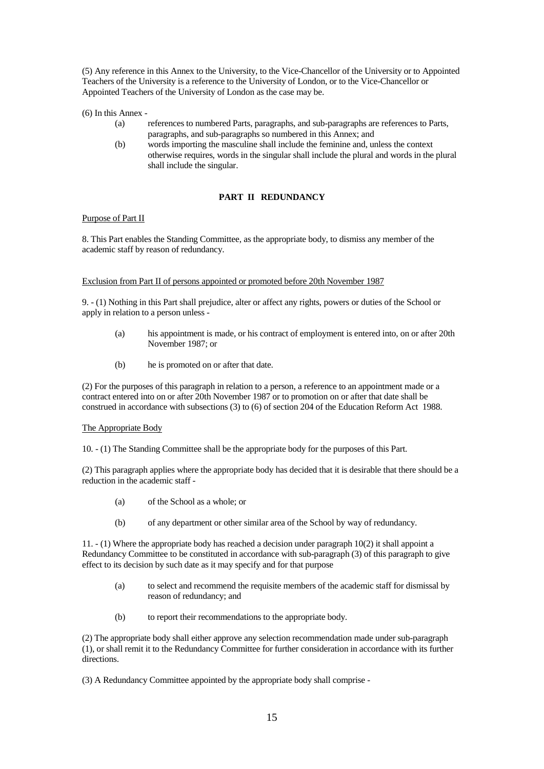(5) Any reference in this Annex to the University, to the Vice-Chancellor of the University or to Appointed Teachers of the University is a reference to the University of London, or to the Vice-Chancellor or Appointed Teachers of the University of London as the case may be.

(6) In this Annex -

- (a) references to numbered Parts, paragraphs, and sub-paragraphs are references to Parts, paragraphs, and sub-paragraphs so numbered in this Annex; and
- (b) words importing the masculine shall include the feminine and, unless the context otherwise requires, words in the singular shall include the plural and words in the plural shall include the singular.

### **PART II REDUNDANCY**

### Purpose of Part II

8. This Part enables the Standing Committee, as the appropriate body, to dismiss any member of the academic staff by reason of redundancy.

#### Exclusion from Part II of persons appointed or promoted before 20th November 1987

9. - (1) Nothing in this Part shall prejudice, alter or affect any rights, powers or duties of the School or apply in relation to a person unless -

- (a) his appointment is made, or his contract of employment is entered into, on or after 20th November 1987; or
- (b) he is promoted on or after that date.

(2) For the purposes of this paragraph in relation to a person, a reference to an appointment made or a contract entered into on or after 20th November 1987 or to promotion on or after that date shall be construed in accordance with subsections (3) to (6) of section 204 of the Education Reform Act 1988.

#### The Appropriate Body

10. - (1) The Standing Committee shall be the appropriate body for the purposes of this Part.

(2) This paragraph applies where the appropriate body has decided that it is desirable that there should be a reduction in the academic staff -

- (a) of the School as a whole; or
- (b) of any department or other similar area of the School by way of redundancy.

11. - (1) Where the appropriate body has reached a decision under paragraph 10(2) it shall appoint a Redundancy Committee to be constituted in accordance with sub-paragraph (3) of this paragraph to give effect to its decision by such date as it may specify and for that purpose

- (a) to select and recommend the requisite members of the academic staff for dismissal by reason of redundancy; and
- (b) to report their recommendations to the appropriate body.

(2) The appropriate body shall either approve any selection recommendation made under sub-paragraph (1), or shall remit it to the Redundancy Committee for further consideration in accordance with its further directions.

(3) A Redundancy Committee appointed by the appropriate body shall comprise -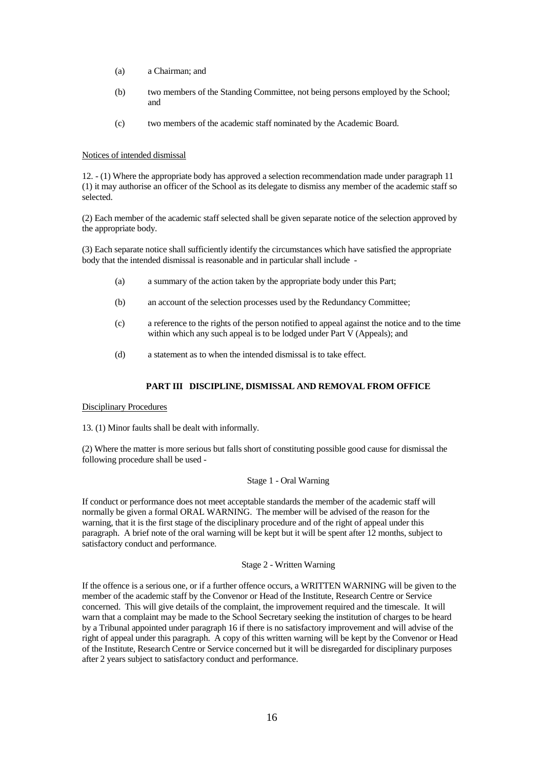- (a) a Chairman; and
- (b) two members of the Standing Committee, not being persons employed by the School; and
- (c) two members of the academic staff nominated by the Academic Board.

#### Notices of intended dismissal

12. - (1) Where the appropriate body has approved a selection recommendation made under paragraph 11 (1) it may authorise an officer of the School as its delegate to dismiss any member of the academic staff so selected.

(2) Each member of the academic staff selected shall be given separate notice of the selection approved by the appropriate body.

(3) Each separate notice shall sufficiently identify the circumstances which have satisfied the appropriate body that the intended dismissal is reasonable and in particular shall include -

- (a) a summary of the action taken by the appropriate body under this Part;
- (b) an account of the selection processes used by the Redundancy Committee;
- (c) a reference to the rights of the person notified to appeal against the notice and to the time within which any such appeal is to be lodged under Part V (Appeals); and
- (d) a statement as to when the intended dismissal is to take effect.

#### **PART III DISCIPLINE, DISMISSAL AND REMOVAL FROM OFFICE**

#### Disciplinary Procedures

13. (1) Minor faults shall be dealt with informally.

(2) Where the matter is more serious but falls short of constituting possible good cause for dismissal the following procedure shall be used -

#### Stage 1 - Oral Warning

If conduct or performance does not meet acceptable standards the member of the academic staff will normally be given a formal ORAL WARNING. The member will be advised of the reason for the warning, that it is the first stage of the disciplinary procedure and of the right of appeal under this paragraph. A brief note of the oral warning will be kept but it will be spent after 12 months, subject to satisfactory conduct and performance.

Stage 2 - Written Warning

If the offence is a serious one, or if a further offence occurs, a WRITTEN WARNING will be given to the member of the academic staff by the Convenor or Head of the Institute, Research Centre or Service concerned. This will give details of the complaint, the improvement required and the timescale. It will warn that a complaint may be made to the School Secretary seeking the institution of charges to be heard by a Tribunal appointed under paragraph 16 if there is no satisfactory improvement and will advise of the right of appeal under this paragraph. A copy of this written warning will be kept by the Convenor or Head of the Institute, Research Centre or Service concerned but it will be disregarded for disciplinary purposes after 2 years subject to satisfactory conduct and performance.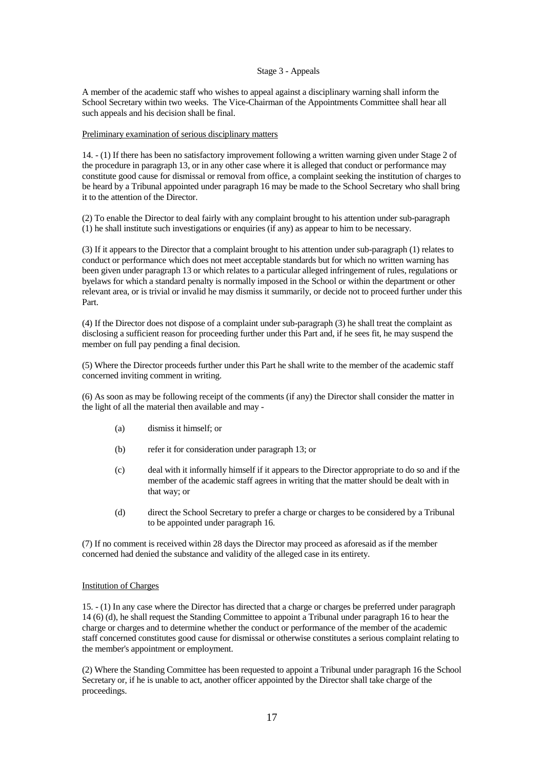#### Stage 3 - Appeals

A member of the academic staff who wishes to appeal against a disciplinary warning shall inform the School Secretary within two weeks. The Vice-Chairman of the Appointments Committee shall hear all such appeals and his decision shall be final.

#### Preliminary examination of serious disciplinary matters

14. - (1) If there has been no satisfactory improvement following a written warning given under Stage 2 of the procedure in paragraph 13, or in any other case where it is alleged that conduct or performance may constitute good cause for dismissal or removal from office, a complaint seeking the institution of charges to be heard by a Tribunal appointed under paragraph 16 may be made to the School Secretary who shall bring it to the attention of the Director.

(2) To enable the Director to deal fairly with any complaint brought to his attention under sub-paragraph (1) he shall institute such investigations or enquiries (if any) as appear to him to be necessary.

(3) If it appears to the Director that a complaint brought to his attention under sub-paragraph (1) relates to conduct or performance which does not meet acceptable standards but for which no written warning has been given under paragraph 13 or which relates to a particular alleged infringement of rules, regulations or byelaws for which a standard penalty is normally imposed in the School or within the department or other relevant area, or is trivial or invalid he may dismiss it summarily, or decide not to proceed further under this Part.

(4) If the Director does not dispose of a complaint under sub-paragraph (3) he shall treat the complaint as disclosing a sufficient reason for proceeding further under this Part and, if he sees fit, he may suspend the member on full pay pending a final decision.

(5) Where the Director proceeds further under this Part he shall write to the member of the academic staff concerned inviting comment in writing.

(6) As soon as may be following receipt of the comments (if any) the Director shall consider the matter in the light of all the material then available and may -

- (a) dismiss it himself; or
- (b) refer it for consideration under paragraph 13; or
- (c) deal with it informally himself if it appears to the Director appropriate to do so and if the member of the academic staff agrees in writing that the matter should be dealt with in that way; or
- (d) direct the School Secretary to prefer a charge or charges to be considered by a Tribunal to be appointed under paragraph 16.

(7) If no comment is received within 28 days the Director may proceed as aforesaid as if the member concerned had denied the substance and validity of the alleged case in its entirety.

#### Institution of Charges

15. - (1) In any case where the Director has directed that a charge or charges be preferred under paragraph 14 (6) (d), he shall request the Standing Committee to appoint a Tribunal under paragraph 16 to hear the charge or charges and to determine whether the conduct or performance of the member of the academic staff concerned constitutes good cause for dismissal or otherwise constitutes a serious complaint relating to the member's appointment or employment.

(2) Where the Standing Committee has been requested to appoint a Tribunal under paragraph 16 the School Secretary or, if he is unable to act, another officer appointed by the Director shall take charge of the proceedings.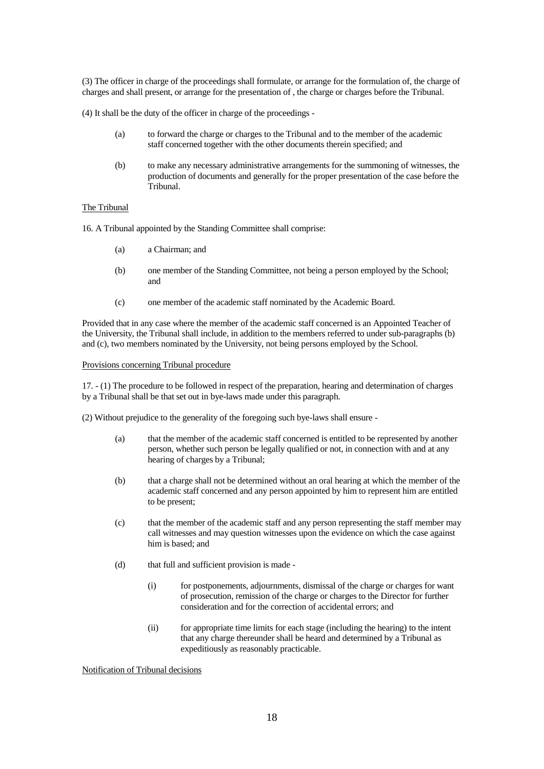(3) The officer in charge of the proceedings shall formulate, or arrange for the formulation of, the charge of charges and shall present, or arrange for the presentation of , the charge or charges before the Tribunal.

(4) It shall be the duty of the officer in charge of the proceedings -

- (a) to forward the charge or charges to the Tribunal and to the member of the academic staff concerned together with the other documents therein specified; and
- (b) to make any necessary administrative arrangements for the summoning of witnesses, the production of documents and generally for the proper presentation of the case before the Tribunal.

#### The Tribunal

16. A Tribunal appointed by the Standing Committee shall comprise:

- (a) a Chairman; and
- (b) one member of the Standing Committee, not being a person employed by the School; and
- (c) one member of the academic staff nominated by the Academic Board.

Provided that in any case where the member of the academic staff concerned is an Appointed Teacher of the University, the Tribunal shall include, in addition to the members referred to under sub-paragraphs (b) and (c), two members nominated by the University, not being persons employed by the School.

#### Provisions concerning Tribunal procedure

17. - (1) The procedure to be followed in respect of the preparation, hearing and determination of charges by a Tribunal shall be that set out in bye-laws made under this paragraph.

(2) Without prejudice to the generality of the foregoing such bye-laws shall ensure -

- (a) that the member of the academic staff concerned is entitled to be represented by another person, whether such person be legally qualified or not, in connection with and at any hearing of charges by a Tribunal;
- (b) that a charge shall not be determined without an oral hearing at which the member of the academic staff concerned and any person appointed by him to represent him are entitled to be present;
- (c) that the member of the academic staff and any person representing the staff member may call witnesses and may question witnesses upon the evidence on which the case against him is based; and
- (d) that full and sufficient provision is made
	- (i) for postponements, adjournments, dismissal of the charge or charges for want of prosecution, remission of the charge or charges to the Director for further consideration and for the correction of accidental errors; and
	- (ii) for appropriate time limits for each stage (including the hearing) to the intent that any charge thereunder shall be heard and determined by a Tribunal as expeditiously as reasonably practicable.

Notification of Tribunal decisions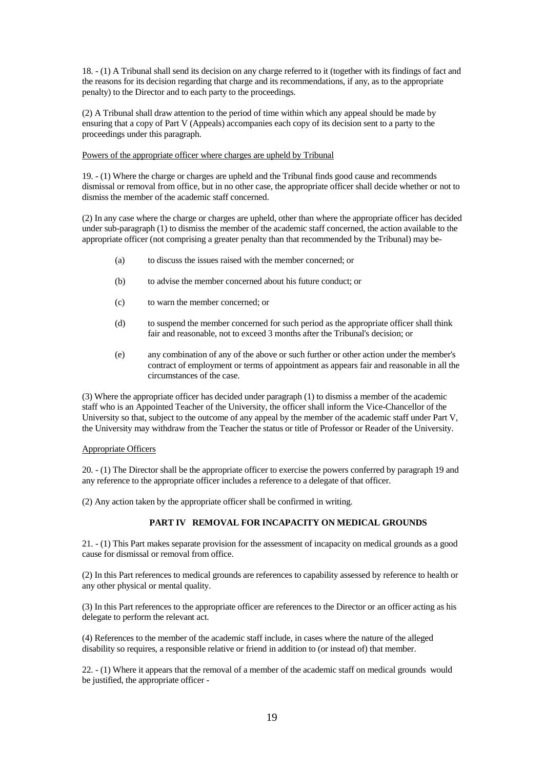18. - (1) A Tribunal shall send its decision on any charge referred to it (together with its findings of fact and the reasons for its decision regarding that charge and its recommendations, if any, as to the appropriate penalty) to the Director and to each party to the proceedings.

(2) A Tribunal shall draw attention to the period of time within which any appeal should be made by ensuring that a copy of Part V (Appeals) accompanies each copy of its decision sent to a party to the proceedings under this paragraph.

#### Powers of the appropriate officer where charges are upheld by Tribunal

19. - (1) Where the charge or charges are upheld and the Tribunal finds good cause and recommends dismissal or removal from office, but in no other case, the appropriate officer shall decide whether or not to dismiss the member of the academic staff concerned.

(2) In any case where the charge or charges are upheld, other than where the appropriate officer has decided under sub-paragraph (1) to dismiss the member of the academic staff concerned, the action available to the appropriate officer (not comprising a greater penalty than that recommended by the Tribunal) may be-

- (a) to discuss the issues raised with the member concerned; or
- (b) to advise the member concerned about his future conduct; or
- (c) to warn the member concerned; or
- (d) to suspend the member concerned for such period as the appropriate officer shall think fair and reasonable, not to exceed 3 months after the Tribunal's decision; or
- (e) any combination of any of the above or such further or other action under the member's contract of employment or terms of appointment as appears fair and reasonable in all the circumstances of the case.

(3) Where the appropriate officer has decided under paragraph (1) to dismiss a member of the academic staff who is an Appointed Teacher of the University, the officer shall inform the Vice-Chancellor of the University so that, subject to the outcome of any appeal by the member of the academic staff under Part V, the University may withdraw from the Teacher the status or title of Professor or Reader of the University.

#### Appropriate Officers

20. - (1) The Director shall be the appropriate officer to exercise the powers conferred by paragraph 19 and any reference to the appropriate officer includes a reference to a delegate of that officer.

(2) Any action taken by the appropriate officer shall be confirmed in writing.

### **PART IV REMOVAL FOR INCAPACITY ON MEDICAL GROUNDS**

21. - (1) This Part makes separate provision for the assessment of incapacity on medical grounds as a good cause for dismissal or removal from office.

(2) In this Part references to medical grounds are references to capability assessed by reference to health or any other physical or mental quality.

(3) In this Part references to the appropriate officer are references to the Director or an officer acting as his delegate to perform the relevant act.

(4) References to the member of the academic staff include, in cases where the nature of the alleged disability so requires, a responsible relative or friend in addition to (or instead of) that member.

22. - (1) Where it appears that the removal of a member of the academic staff on medical grounds would be justified, the appropriate officer -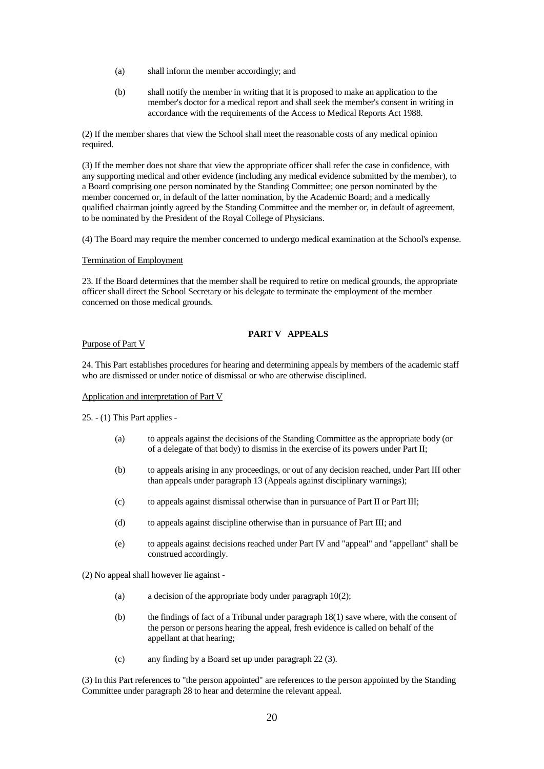- (a) shall inform the member accordingly; and
- (b) shall notify the member in writing that it is proposed to make an application to the member's doctor for a medical report and shall seek the member's consent in writing in accordance with the requirements of the Access to Medical Reports Act 1988.

(2) If the member shares that view the School shall meet the reasonable costs of any medical opinion required.

(3) If the member does not share that view the appropriate officer shall refer the case in confidence, with any supporting medical and other evidence (including any medical evidence submitted by the member), to a Board comprising one person nominated by the Standing Committee; one person nominated by the member concerned or, in default of the latter nomination, by the Academic Board; and a medically qualified chairman jointly agreed by the Standing Committee and the member or, in default of agreement, to be nominated by the President of the Royal College of Physicians.

(4) The Board may require the member concerned to undergo medical examination at the School's expense.

#### Termination of Employment

23. If the Board determines that the member shall be required to retire on medical grounds, the appropriate officer shall direct the School Secretary or his delegate to terminate the employment of the member concerned on those medical grounds.

## **PART V APPEALS**

### Purpose of Part V

24. This Part establishes procedures for hearing and determining appeals by members of the academic staff who are dismissed or under notice of dismissal or who are otherwise disciplined.

#### Application and interpretation of Part V

25. - (1) This Part applies -

- (a) to appeals against the decisions of the Standing Committee as the appropriate body (or of a delegate of that body) to dismiss in the exercise of its powers under Part II;
- (b) to appeals arising in any proceedings, or out of any decision reached, under Part III other than appeals under paragraph 13 (Appeals against disciplinary warnings);
- (c) to appeals against dismissal otherwise than in pursuance of Part II or Part III;
- (d) to appeals against discipline otherwise than in pursuance of Part III; and
- (e) to appeals against decisions reached under Part IV and "appeal" and "appellant" shall be construed accordingly.

(2) No appeal shall however lie against -

- (a) a decision of the appropriate body under paragraph 10(2);
- (b) the findings of fact of a Tribunal under paragraph 18(1) save where, with the consent of the person or persons hearing the appeal, fresh evidence is called on behalf of the appellant at that hearing;
- (c) any finding by a Board set up under paragraph 22 (3).

(3) In this Part references to "the person appointed" are references to the person appointed by the Standing Committee under paragraph 28 to hear and determine the relevant appeal.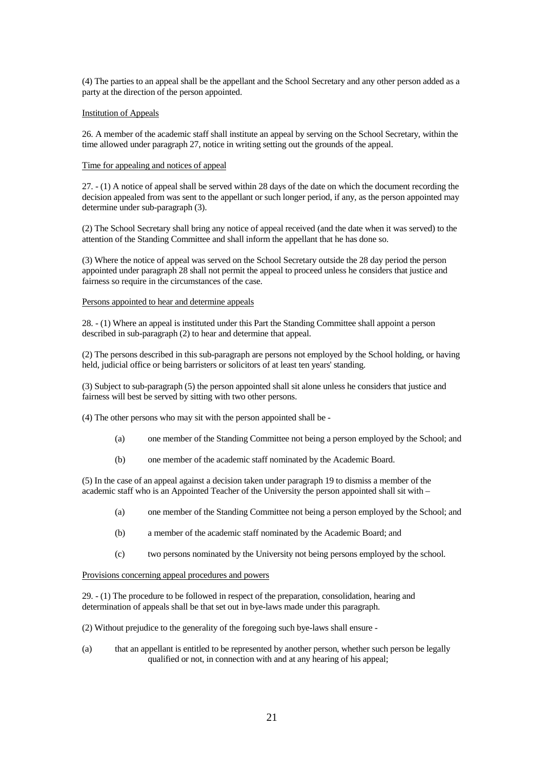(4) The parties to an appeal shall be the appellant and the School Secretary and any other person added as a party at the direction of the person appointed.

#### Institution of Appeals

26. A member of the academic staff shall institute an appeal by serving on the School Secretary, within the time allowed under paragraph 27, notice in writing setting out the grounds of the appeal.

#### Time for appealing and notices of appeal

27. - (1) A notice of appeal shall be served within 28 days of the date on which the document recording the decision appealed from was sent to the appellant or such longer period, if any, as the person appointed may determine under sub-paragraph (3).

(2) The School Secretary shall bring any notice of appeal received (and the date when it was served) to the attention of the Standing Committee and shall inform the appellant that he has done so.

(3) Where the notice of appeal was served on the School Secretary outside the 28 day period the person appointed under paragraph 28 shall not permit the appeal to proceed unless he considers that justice and fairness so require in the circumstances of the case.

#### Persons appointed to hear and determine appeals

28. - (1) Where an appeal is instituted under this Part the Standing Committee shall appoint a person described in sub-paragraph (2) to hear and determine that appeal.

(2) The persons described in this sub-paragraph are persons not employed by the School holding, or having held, judicial office or being barristers or solicitors of at least ten years' standing.

(3) Subject to sub-paragraph (5) the person appointed shall sit alone unless he considers that justice and fairness will best be served by sitting with two other persons.

(4) The other persons who may sit with the person appointed shall be -

- (a) one member of the Standing Committee not being a person employed by the School; and
- (b) one member of the academic staff nominated by the Academic Board.

(5) In the case of an appeal against a decision taken under paragraph 19 to dismiss a member of the academic staff who is an Appointed Teacher of the University the person appointed shall sit with –

- (a) one member of the Standing Committee not being a person employed by the School; and
- (b) a member of the academic staff nominated by the Academic Board; and
- (c) two persons nominated by the University not being persons employed by the school.

Provisions concerning appeal procedures and powers

29. - (1) The procedure to be followed in respect of the preparation, consolidation, hearing and determination of appeals shall be that set out in bye-laws made under this paragraph.

(2) Without prejudice to the generality of the foregoing such bye-laws shall ensure -

(a) that an appellant is entitled to be represented by another person, whether such person be legally qualified or not, in connection with and at any hearing of his appeal;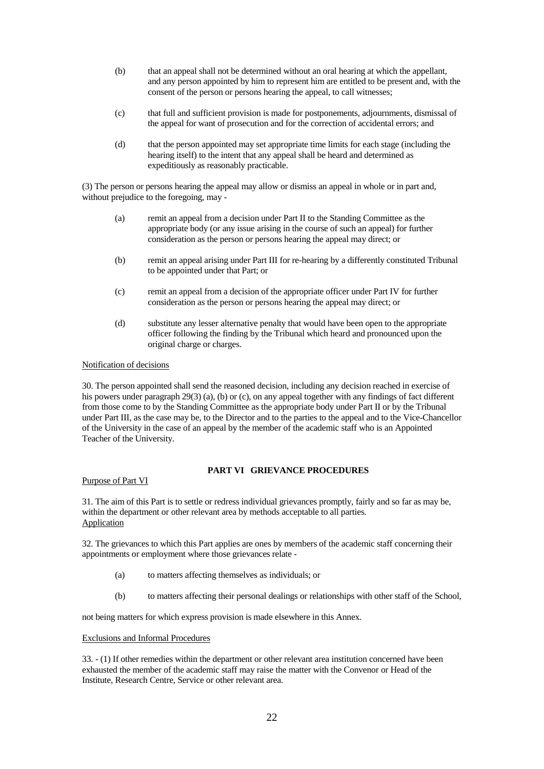- (b) that an appeal shall not be determined without an oral hearing at which the appellant, and any person appointed by him to represent him are entitled to be present and, with the consent of the person or persons hearing the appeal, to call witnesses;
- (c) that full and sufficient provision is made for postponements, adjournments, dismissal of the appeal for want of prosecution and for the correction of accidental errors; and
- (d) that the person appointed may set appropriate time limits for each stage (including the hearing itself) to the intent that any appeal shall be heard and determined as expeditiously as reasonably practicable.

(3) The person or persons hearing the appeal may allow or dismiss an appeal in whole or in part and, without prejudice to the foregoing, may -

- (a) remit an appeal from a decision under Part II to the Standing Committee as the appropriate body (or any issue arising in the course of such an appeal) for further consideration as the person or persons hearing the appeal may direct; or
- (b) remit an appeal arising under Part III for re-hearing by a differently constituted Tribunal to be appointed under that Part; or
- (c) remit an appeal from a decision of the appropriate officer under Part IV for further consideration as the person or persons hearing the appeal may direct; or
- (d) substitute any lesser alternative penalty that would have been open to the appropriate officer following the finding by the Tribunal which heard and pronounced upon the original charge or charges.

#### Notification of decisions

30. The person appointed shall send the reasoned decision, including any decision reached in exercise of his powers under paragraph 29(3) (a), (b) or (c), on any appeal together with any findings of fact different from those come to by the Standing Committee as the appropriate body under Part II or by the Tribunal under Part III, as the case may be, to the Director and to the parties to the appeal and to the Vice-Chancellor of the University in the case of an appeal by the member of the academic staff who is an Appointed Teacher of the University.

### **PART VI GRIEVANCE PROCEDURES**

Purpose of Part VI

31. The aim of this Part is to settle or redress individual grievances promptly, fairly and so far as may be, within the department or other relevant area by methods acceptable to all parties. **Application** 

32. The grievances to which this Part applies are ones by members of the academic staff concerning their appointments or employment where those grievances relate -

- (a) to matters affecting themselves as individuals; or
- (b) to matters affecting their personal dealings or relationships with other staff of the School,

not being matters for which express provision is made elsewhere in this Annex.

#### Exclusions and Informal Procedures

33. - (1) If other remedies within the department or other relevant area institution concerned have been exhausted the member of the academic staff may raise the matter with the Convenor or Head of the Institute, Research Centre, Service or other relevant area.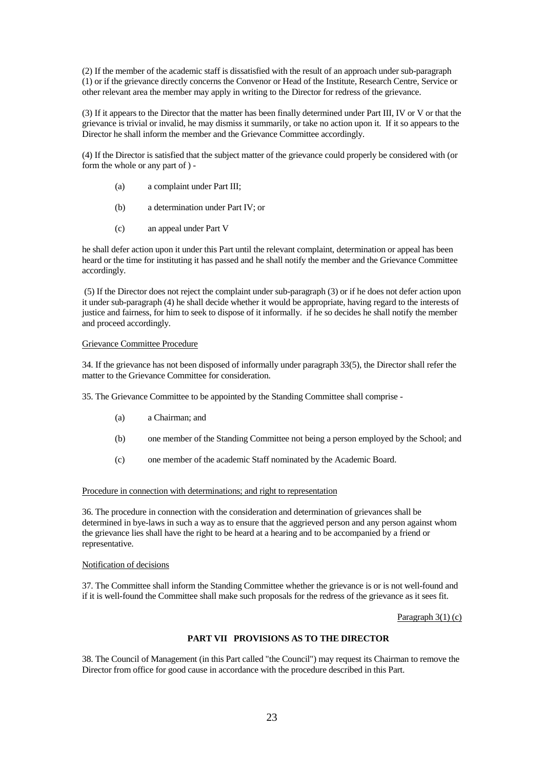(2) If the member of the academic staff is dissatisfied with the result of an approach under sub-paragraph (1) or if the grievance directly concerns the Convenor or Head of the Institute, Research Centre, Service or other relevant area the member may apply in writing to the Director for redress of the grievance.

(3) If it appears to the Director that the matter has been finally determined under Part III, IV or V or that the grievance is trivial or invalid, he may dismiss it summarily, or take no action upon it. If it so appears to the Director he shall inform the member and the Grievance Committee accordingly.

(4) If the Director is satisfied that the subject matter of the grievance could properly be considered with (or form the whole or any part of ) -

- (a) a complaint under Part III;
- (b) a determination under Part IV; or
- (c) an appeal under Part V

he shall defer action upon it under this Part until the relevant complaint, determination or appeal has been heard or the time for instituting it has passed and he shall notify the member and the Grievance Committee accordingly.

(5) If the Director does not reject the complaint under sub-paragraph (3) or if he does not defer action upon it under sub-paragraph (4) he shall decide whether it would be appropriate, having regard to the interests of justice and fairness, for him to seek to dispose of it informally. if he so decides he shall notify the member and proceed accordingly.

#### Grievance Committee Procedure

34. If the grievance has not been disposed of informally under paragraph 33(5), the Director shall refer the matter to the Grievance Committee for consideration.

35. The Grievance Committee to be appointed by the Standing Committee shall comprise -

- (a) a Chairman; and
- (b) one member of the Standing Committee not being a person employed by the School; and
- (c) one member of the academic Staff nominated by the Academic Board.

#### Procedure in connection with determinations; and right to representation

36. The procedure in connection with the consideration and determination of grievances shall be determined in bye-laws in such a way as to ensure that the aggrieved person and any person against whom the grievance lies shall have the right to be heard at a hearing and to be accompanied by a friend or representative.

### Notification of decisions

37. The Committee shall inform the Standing Committee whether the grievance is or is not well-found and if it is well-found the Committee shall make such proposals for the redress of the grievance as it sees fit.

Paragraph 3(1) (c)

## **PART VII PROVISIONS AS TO THE DIRECTOR**

38. The Council of Management (in this Part called "the Council") may request its Chairman to remove the Director from office for good cause in accordance with the procedure described in this Part.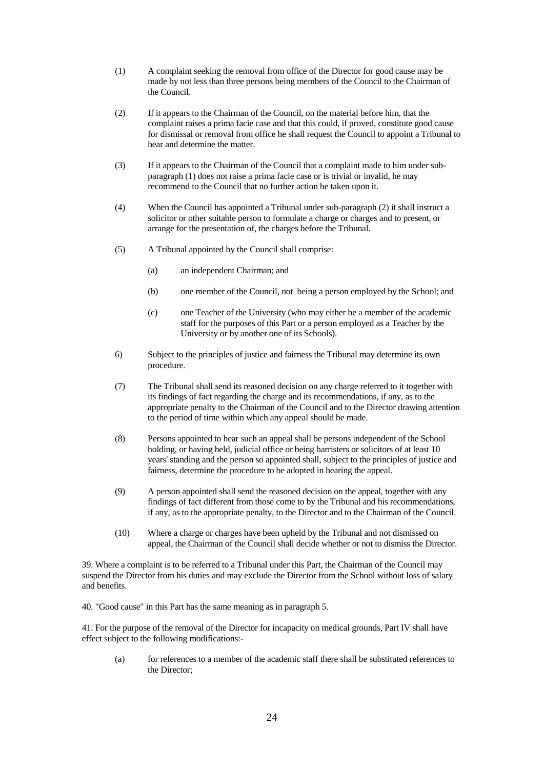- (1) A complaint seeking the removal from office of the Director for good cause may be made by not less than three persons being members of the Council to the Chairman of the Council.
- (2) If it appears to the Chairman of the Council, on the material before him, that the complaint raises a prima facie case and that this could, if proved, constitute good cause for dismissal or removal from office he shall request the Council to appoint a Tribunal to hear and determine the matter.
- (3) If it appears to the Chairman of the Council that a complaint made to him under subparagraph (1) does not raise a prima facie case or is trivial or invalid, he may recommend to the Council that no further action be taken upon it.
- (4) When the Council has appointed a Tribunal under sub-paragraph (2) it shall instruct a solicitor or other suitable person to formulate a charge or charges and to present, or arrange for the presentation of, the charges before the Tribunal.
- (5) A Tribunal appointed by the Council shall comprise:
	- (a) an independent Chairman; and
	- (b) one member of the Council, not being a person employed by the School; and
	- (c) one Teacher of the University (who may either be a member of the academic staff for the purposes of this Part or a person employed as a Teacher by the University or by another one of its Schools).
- 6) Subject to the principles of justice and fairness the Tribunal may determine its own procedure.
- (7) The Tribunal shall send its reasoned decision on any charge referred to it together with its findings of fact regarding the charge and its recommendations, if any, as to the appropriate penalty to the Chairman of the Council and to the Director drawing attention to the period of time within which any appeal should be made.
- (8) Persons appointed to hear such an appeal shall be persons independent of the School holding, or having held, judicial office or being barristers or solicitors of at least 10 years' standing and the person so appointed shall, subject to the principles of justice and fairness, determine the procedure to be adopted in hearing the appeal.
- (9) A person appointed shall send the reasoned decision on the appeal, together with any findings of fact different from those come to by the Tribunal and his recommendations, if any, as to the appropriate penalty, to the Director and to the Chairman of the Council.
- (10) Where a charge or charges have been upheld by the Tribunal and not dismissed on appeal, the Chairman of the Council shall decide whether or not to dismiss the Director.

39. Where a complaint is to be referred to a Tribunal under this Part, the Chairman of the Council may suspend the Director from his duties and may exclude the Director from the School without loss of salary and benefits.

40. "Good cause" in this Part has the same meaning as in paragraph 5.

41. For the purpose of the removal of the Director for incapacity on medical grounds, Part IV shall have effect subject to the following modifications:-

(a) for references to a member of the academic staff there shall be substituted references to the Director;